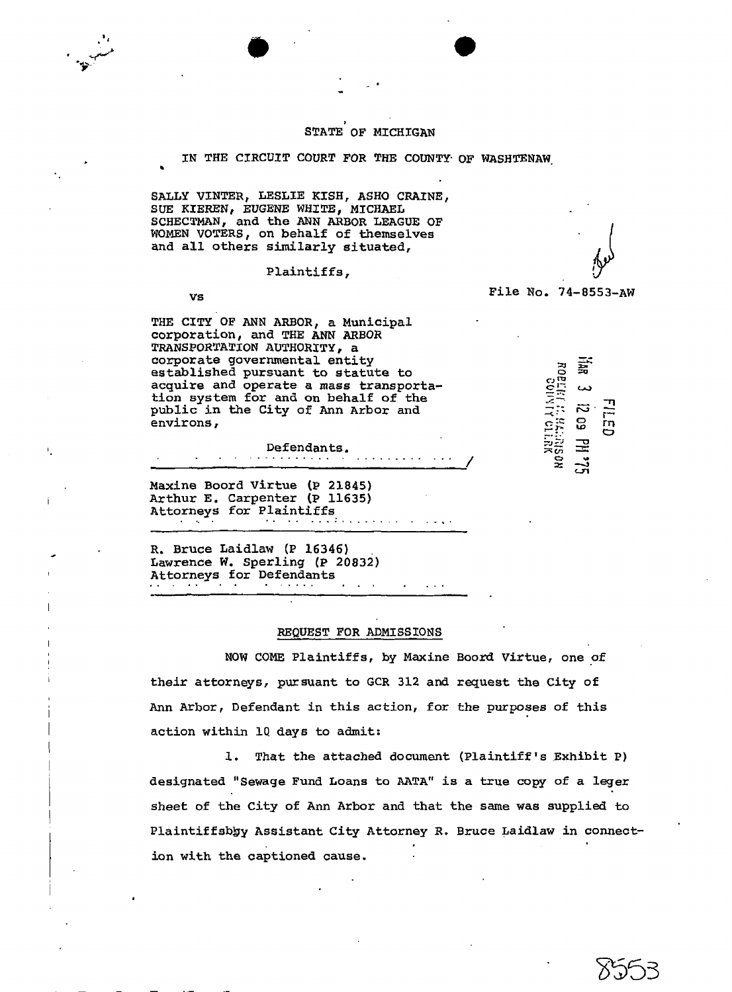## **I**  STATE **OF** MICHIGAN

IN THE CIRCUIT COURT FOR **THE COUNTY** OF WASHTENAW.

SALLY VINTER, LESLIE KISH, **ASH0** CRAINE, **SUE KIEReN,** EUGENE **WHITE,** MICHAEL **SCHECTMAN,** and the ANN **ARBOR** LEAGUE **OF**  WOMEN VOTERS, on behalf of themselves and all others similarly situated,

Plaintiffs ,

vs **File No. 74-8553-AW** 

I

THE CITY OF **ANN** ARBOR, a Municipal corporation, and THE ANN **ARBOR**  TRANSPORTATION **AUTHORITY,** a corporate governmental entity<br>
established pursuant to statute to<br>
acquire and operate a mass transporta-<br>
tion system for and on behalf of the<br>
public in the City of Ann Arbor and<br>
environs,<br>
Peterdanta established pursuant to statute to  $\tilde{e}$   $\tilde{e}$  and operate a mass transportaacquire and operate a mass transportaestablished pursuant to statute to<br>acquire and operate a mass transporta-<br>tion system for and on behalf of the  $\overline{z}$ deduite and operate a mass transportation system for and on behalf of the<br>public in the City of Ann Arbor and<br>environs,<br>Defendants.<br><u>Defendants</u>.<br>All  $\begin{bmatrix} 0.71 & .0 & .12 \\ 0.71 & .0 & .12 \\ .0 & .0 & .12 \\ .0 & .0 & .12 \\ .0 & .0 & .12 \\ .0 & .0 & .12$ 

Maxine Boord Virtue **(P** 21845) Arthur E. Carpenter **(P** 11635) Attorneys for Plaintiffs .... ....... :.... .........

R. Bruce Laidlaw **(P** 16346) . # Lawrence **W.** Sperling **(P** 20832) Attorneys for Defendants ..... ... ...

## **REQUEST FOR ADMISSIONS**

**NOW COME** Plaintiffs, by Maxine Boord Virtue, one of their attorneys, pursuant to **GCR** 312 and request the City of Ann Arbor, Defendant in this action, for the purposes of this action within lQ days to admit:

1. That the attached document (Plaintiff's Exhibit P) designated "Sewage Fund Loans to AATA" is a true copy of a legex sheet of the City of Ann Arbor and that the same was supplied to Plaintiffsbby Assistant City Attorney R. Bruce Laidlaw in connection with the captioned cause.

**JZ 4 cn**